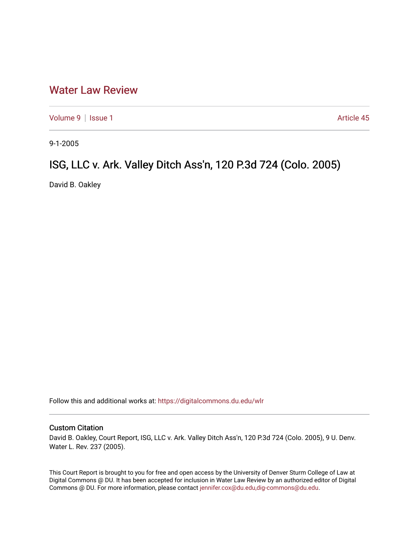## [Water Law Review](https://digitalcommons.du.edu/wlr)

[Volume 9](https://digitalcommons.du.edu/wlr/vol9) | [Issue 1](https://digitalcommons.du.edu/wlr/vol9/iss1) Article 45

9-1-2005

## ISG, LLC v. Ark. Valley Ditch Ass'n, 120 P.3d 724 (Colo. 2005)

David B. Oakley

Follow this and additional works at: [https://digitalcommons.du.edu/wlr](https://digitalcommons.du.edu/wlr?utm_source=digitalcommons.du.edu%2Fwlr%2Fvol9%2Fiss1%2F45&utm_medium=PDF&utm_campaign=PDFCoverPages) 

## Custom Citation

David B. Oakley, Court Report, ISG, LLC v. Ark. Valley Ditch Ass'n, 120 P.3d 724 (Colo. 2005), 9 U. Denv. Water L. Rev. 237 (2005).

This Court Report is brought to you for free and open access by the University of Denver Sturm College of Law at Digital Commons @ DU. It has been accepted for inclusion in Water Law Review by an authorized editor of Digital Commons @ DU. For more information, please contact [jennifer.cox@du.edu,dig-commons@du.edu.](mailto:jennifer.cox@du.edu,dig-commons@du.edu)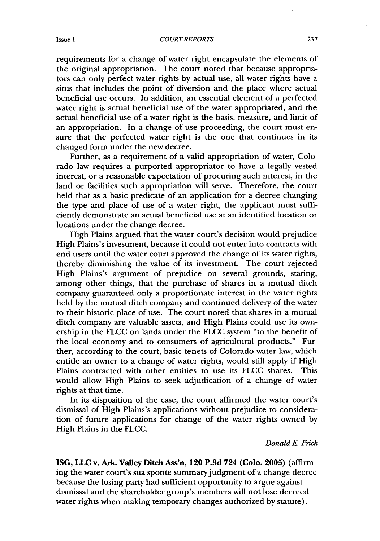requirements for a change of water right encapsulate the elements of the original appropriation. The court noted that because appropriators can only perfect water rights by actual use, all water rights have a situs that includes the point of diversion and the place where actual beneficial use occurs. In addition, an essential element of a perfected water right is actual beneficial use of the water appropriated, and the actual beneficial use of a water right is the basis, measure, and limit of an appropriation. In a change of use proceeding, the court must ensure that the perfected water right is the one that continues in its changed form under the new decree.

Further, as a requirement of a valid appropriation of water, Colorado law requires a purported appropriator to have a legally vested interest, or a reasonable expectation of procuring such interest, in the land or facilities such appropriation will serve. Therefore, the court held that as a basic predicate of an application for a decree changing the type and place of use of a water right, the applicant must sufficiently demonstrate an actual beneficial use at an identified location or locations under the change decree.

High Plains argued that the water court's decision would prejudice High Plains's investment, because it could not enter into contracts with end users until the water court approved the change of its water rights, thereby diminishing the value of its investment. The court rejected High Plains's argument of prejudice on several grounds, stating, among other things, that the purchase of shares in a mutual ditch company guaranteed only a proportionate interest in the water rights held by the mutual ditch company and continued delivery of the water to their historic place of use. The court noted that shares in a mutual ditch company are valuable assets, and High Plains could use its ownership in the FLCC on lands under the FLCC system "to the benefit of the local economy and to consumers of agricultural products." Further, according to the court, basic tenets of Colorado water law, which entitle an owner to a change of water rights, would still apply if High Plains contracted with other entities to use its FLCC shares. This would allow High Plains to seek adjudication of a change of water rights at that time.

In its disposition of the case, the court affirmed the water court's dismissal of High Plains's applications without prejudice to consideration of future applications for change of the water rights owned by High Plains in the FLCC.

## *Donald E. Frick*

**ISG, LLC** v. Ark. Valley Ditch Ass'n, 120 **P.3d** 724 (Colo. **2005)** (affirming the water court's sua sponte summary judgment of a change decree because the losing party had sufficient opportunity to argue against dismissal and the shareholder group's members will not lose decreed water rights when making temporary changes authorized by statute).